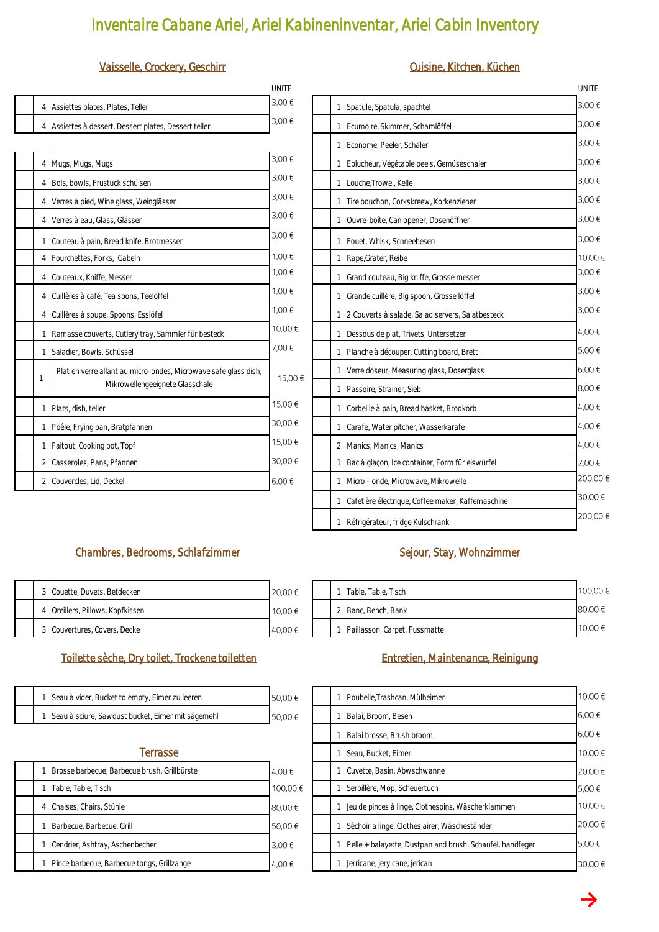# *Inventaire Cabane Ariel, Ariel Kabineninventar, Ariel Cabin Inventory*

### *Vaisselle, Crockery, Geschirr Cuisine, Kitchen, Küchen*

|  |                                                       | UNIIF |  |                                  |
|--|-------------------------------------------------------|-------|--|----------------------------------|
|  | 4 Assiettes plates, Plates, Teller                    | 3.00€ |  | 1 Spatule, Spatula, spachtel     |
|  | 4 Assiettes à dessert, Dessert plates, Dessert teller | 3.00€ |  | 1 Ecumoire, Skimmer, Schamlöffer |

|                | 4 Mugs, Mugs, Mugs                                              | 3,00€   |  | Eplucheur, Végétable peels, Gemüseschaler        |
|----------------|-----------------------------------------------------------------|---------|--|--------------------------------------------------|
| 4              | Bols, bowls, Früstück schülsen                                  | 3,00 €  |  | 1 Louche, Trowel, Kelle                          |
| 4              | Verres à pied, Wine glass, Weinglässer                          | 3,00 €  |  | Tire bouchon, Corkskreew, Korkenzieher           |
| $\overline{4}$ | Verres à eau, Glass, Glässer                                    | 3,00 €  |  | Ouvre-boîte, Can opener, Dosenöffner             |
|                | Couteau à pain, Bread knife, Brotmesser                         | 3.00€   |  | Fouet, Whisk, Scnneebesen                        |
| 4              | Fourchettes, Forks, Gabeln                                      | 1,00 €  |  | Rape, Grater, Reibe                              |
| 4              | Couteaux, Kniffe, Messer                                        | 1,00 €  |  | Grand couteau, Big kniffe, Grosse messer         |
| 4              | Cuillères à café, Tea spons, Teelöffel                          | 1,00 €  |  | Grande cuillère, Big spoon, Grosse löffel        |
| 4              | Cuillères à soupe, Spoons, Esslöfel                             | 1,00 €  |  | 2 Couverts à salade, Salad servers, Salatbesteck |
|                | Ramasse couverts, Cutlery tray, Sammler für besteck             | 10,00 € |  | Dessous de plat, Trivets, Untersetzer            |
|                | Saladier, Bowls, Schüssel                                       | 7,00 €  |  | Planche à découper, Cutting board, Brett         |
| $\mathcal{I}$  | Plat en verre allant au micro-ondes, Microwave safe glass dish, | 15,00 € |  | Verre doseur, Measuring glass, Doserglass        |
|                | Mikrowellengeeignete Glasschale                                 |         |  | Passoire, Strainer, Sieb                         |
|                | Plats, dish, teller                                             | 15,00 € |  | Corbeille à pain, Bread basket, Brodkorb         |
|                | Poêle, Frying pan, Bratpfannen                                  | 30,00€  |  | Carafe, Water pitcher, Wasserkarafe              |
|                | 1 Faitout, Cooking pot, Topf                                    | 15,00 € |  | 2 Manics, Manics, Manics                         |
| 2              | Casseroles, Pans, Pfannen                                       | 30,00€  |  | Bac à glaçon, Ice container, Form für eiswürfel  |
| 2              | Couvercles, Lid, Deckel                                         | 6,00€   |  | Micro - onde, Microwave, Mikrowelle              |
|                |                                                                 |         |  |                                                  |

| UNITE   |                                                        | UNITE    |
|---------|--------------------------------------------------------|----------|
| 3.00€   | 1<br>Spatule, Spatula, spachtel                        | 3.00€    |
| 3,00 €  | Ecumoire, Skimmer, Schamlöffel<br>1                    | 3,00 €   |
|         | Econome, Peeler, Schäler<br>1                          | 3,00 €   |
| 3,00 €  | Eplucheur, Végétable peels, Gemüseschaler<br>1         | 3,00€    |
| 3,00 €  | Louche, Trowel, Kelle<br>1                             | 3.00€    |
| 3,00 €  | Tire bouchon, Corkskreew, Korkenzieher<br>1            | 3,00€    |
| 3,00 €  | 1<br>Ouvre-boîte, Can opener, Dosenöffner              | 3,00 €   |
| 3,00 €  | Fouet, Whisk, Scnneebesen<br>1                         | 3,00 €   |
| 1,00 €  | Rape, Grater, Reibe<br>1                               | 10,00 €  |
| 1,00 €  | Grand couteau, Big kniffe, Grosse messer<br>1          | 3,00€    |
| 1,00 €  | Grande cuillère, Big spoon, Grosse löffel<br>1         | 3,00 €   |
| 1,00 €  | 2 Couverts à salade, Salad servers, Salatbesteck<br>1  | 3,00€    |
| 10,00 € | Dessous de plat, Trivets, Untersetzer<br>1             | 4.00€    |
| 7,00 €  | Planche à découper, Cutting board, Brett<br>1          | 5.00€    |
| 15,00€  | Verre doseur, Measuring glass, Doserglass<br>1         | 6,00€    |
|         | Passoire, Strainer, Sieb<br>1                          | 8,00€    |
| 15,00€  | Corbeille à pain, Bread basket, Brodkorb<br>1          | 4,00 €   |
| 30,00€  | Carafe, Water pitcher, Wasserkarafe<br>1               | 4,00 €   |
| 15,00€  | 2<br>Manics, Manics, Manics                            | 4,00 €   |
| 30,00€  | Bac à glaçon, Ice container, Form für eiswürfel<br>1   | 2.00€    |
| 6,00€   | Micro - onde, Microwave, Mikrowelle<br>1               | 200,00 € |
|         | Cafetière électrique, Coffee maker, Kaffemaschine<br>1 | 30,00€   |
|         | Réfrigérateur, fridge Külschrank<br>$\frac{1}{2}$      | 200,00€  |

## Chambres, Bedrooms, Schlafzimmer Sejour, Stay, Wohnzimmer

|  | 3 Couette, Duvets, Betdecken     | 20,00€  |  | Table, Table, Tisch             |
|--|----------------------------------|---------|--|---------------------------------|
|  | 4 Oreillers, Pillows, Kopfkissen | 10,00 € |  | Banc, Bench, Bank               |
|  | 3 Couvertures, Covers, Decke     | 40.00€  |  | 1 Paillasson, Carpet, Fussmatte |

### *Toilette sèche, Dry toilet, Trockene toiletten Entretien, Maintenance, Reinigung*

|  | 1 Seau à vider, Bucket to empty, Eimer zu leeren    | 50,00 € |  | 1 Poubelle, Trashcan, Mülheimer |
|--|-----------------------------------------------------|---------|--|---------------------------------|
|  | 1 Seau à sciure, Sawdust bucket, Eimer mit sägemehl | 50,00 € |  | 1 Balai, Broom, Besen           |

### *1 <i>Terrasse*

|  | Brosse barbecue, Barbecue brush, Grillbürste | 4.00€    |  | Cuvette, Basin, Abwschwanne                              |
|--|----------------------------------------------|----------|--|----------------------------------------------------------|
|  | Table, Table, Tisch                          | 100,00 € |  | Serpillère, Mop, Scheuertuch                             |
|  | 4 Chaises, Chairs, Stühle                    | 80,00 €  |  | Jeu de pinces à linge, Clothespins, Wäscherklammen       |
|  | Barbecue, Barbecue, Grill                    | 50.00 €  |  | Sèchoir a linge, Clothes airer, Wäscheständer            |
|  | Cendrier, Ashtray, Aschenbecher              | 3.00€    |  | Pelle + balayette, Dustpan and brush, Schaufel, handfege |
|  | Pince barbecue, Barbecue tongs, Grillzange   | 4,00 €   |  | Jerricane, jery cane, jerican                            |

|  | Table, Table, Tisch             | 100.00 € |
|--|---------------------------------|----------|
|  | 2 Banc, Bench, Bank             | 80,00€   |
|  | 1 Paillasson, Carpet, Fussmatte | 10,00 €  |

|   | Poubelle, Trashcan, Mülheimer                             | 10,00 € |
|---|-----------------------------------------------------------|---------|
|   | Balai, Broom, Besen                                       | 6.00€   |
|   | Balai brosse, Brush broom,                                | 6.00€   |
|   | Seau, Bucket, Eimer                                       | 10,00€  |
|   | Cuvette, Basin, Abwschwanne                               | 20,00 € |
|   | Serpillère, Mop, Scheuertuch                              | 5.00€   |
| 1 | Jeu de pinces à linge, Clothespins, Wäscherklammen        | 10.00€  |
| 1 | Sèchoir a linge, Clothes airer, Wäscheständer             | 20.00€  |
| 1 | Pelle + balayette, Dustpan and brush, Schaufel, handfeger | 5.00€   |
|   | Jerricane, jerv cane, jerican                             | 30.00€  |